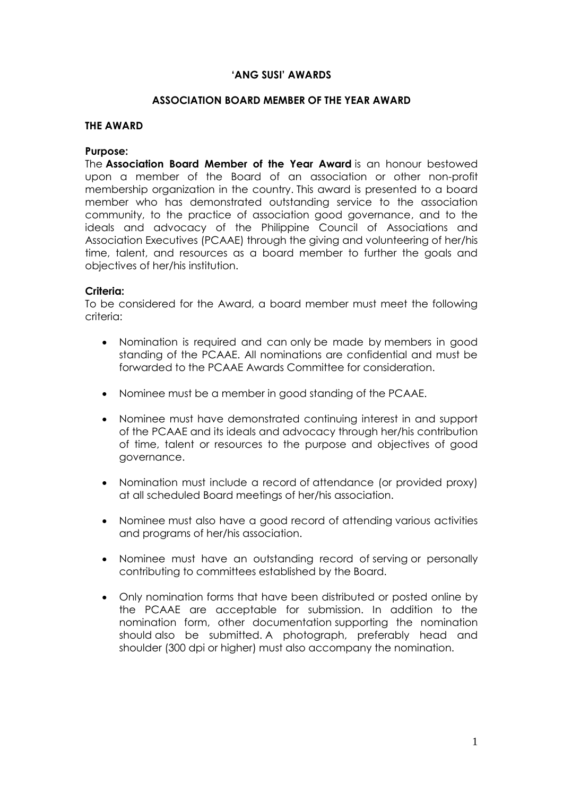### **'ANG SUSI' AWARDS**

### **ASSOCIATION BOARD MEMBER OF THE YEAR AWARD**

#### **THE AWARD**

#### **Purpose:**

The **Association Board Member of the Year Award** is an honour bestowed upon a member of the Board of an association or other non-profit membership organization in the country. This award is presented to a board member who has demonstrated outstanding service to the association community, to the practice of association good governance, and to the ideals and advocacy of the Philippine Council of Associations and Association Executives (PCAAE) through the giving and volunteering of her/his time, talent, and resources as a board member to further the goals and objectives of her/his institution.

### **Criteria:**

To be considered for the Award, a board member must meet the following criteria:

- Nomination is required and can only be made by members in good standing of the PCAAE. All nominations are confidential and must be forwarded to the PCAAE Awards Committee for consideration.
- Nominee must be a member in good standing of the PCAAE.
- Nominee must have demonstrated continuing interest in and support of the PCAAE and its ideals and advocacy through her/his contribution of time, talent or resources to the purpose and objectives of good governance.
- Nomination must include a record of attendance (or provided proxy) at all scheduled Board meetings of her/his association.
- Nominee must also have a good record of attending various activities and programs of her/his association.
- Nominee must have an outstanding record of serving or personally contributing to committees established by the Board.
- Only nomination forms that have been distributed or posted online by the PCAAE are acceptable for submission. In addition to the nomination form, other documentation supporting the nomination should also be submitted. A photograph, preferably head and shoulder (300 dpi or higher) must also accompany the nomination.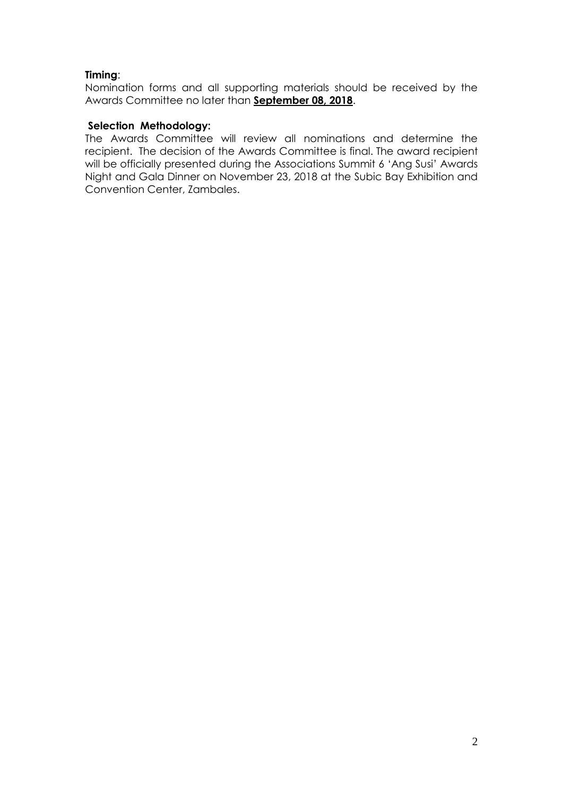## **Timing**:

Nomination forms and all supporting materials should be received by the Awards Committee no later than **September 08, 2018**.

## **Selection Methodology:**

The Awards Committee will review all nominations and determine the recipient. The decision of the Awards Committee is final. The award recipient will be officially presented during the Associations Summit 6 'Ang Susi' Awards Night and Gala Dinner on November 23, 2018 at the Subic Bay Exhibition and Convention Center, Zambales.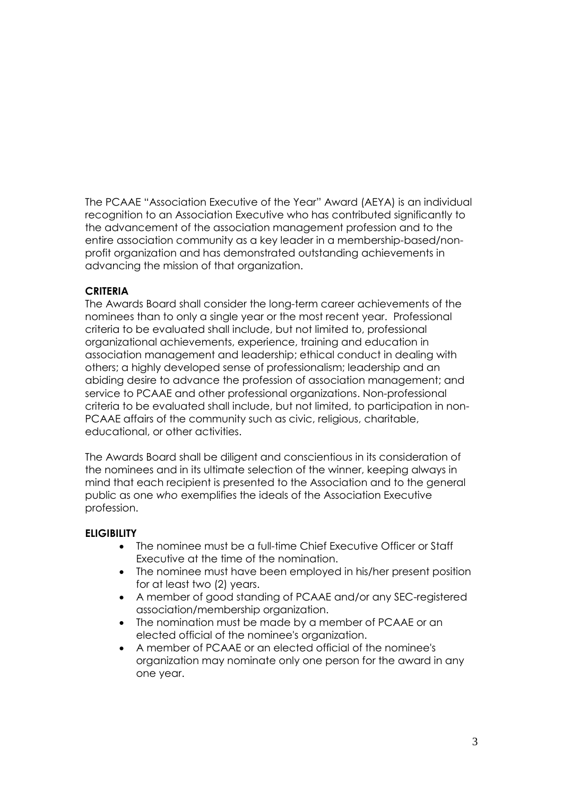The PCAAE "Association Executive of the Year" Award (AEYA) is an individual recognition to an Association Executive who has contributed significantly to the advancement of the association management profession and to the entire association community as a key leader in a membership-based/nonprofit organization and has demonstrated outstanding achievements in advancing the mission of that organization.

## **CRITERIA**

The Awards Board shall consider the long-term career achievements of the nominees than to only a single year or the most recent year. Professional criteria to be evaluated shall include, but not limited to, professional organizational achievements, experience, training and education in association management and leadership; ethical conduct in dealing with others; a highly developed sense of professionalism; leadership and an abiding desire to advance the profession of association management; and service to PCAAE and other professional organizations. Non-professional criteria to be evaluated shall include, but not limited, to participation in non-PCAAE affairs of the community such as civic, religious, charitable, educational, or other activities.

The Awards Board shall be diligent and conscientious in its consideration of the nominees and in its ultimate selection of the winner, keeping always in mind that each recipient is presented to the Association and to the general public as one *who* exemplifies the ideals of the Association Executive profession.

### **ELIGIBILITY**

- The nominee must be a full-time Chief Executive Officer or Staff Executive at the time of the nomination.
- The nominee must have been employed in his/her present position for at least two (2) years.
- A member of good standing of PCAAE and/or any SEC-registered association/membership organization.
- The nomination must be made by a member of PCAAE or an elected official of the nominee's organization.
- A member of PCAAE or an elected official of the nominee's organization may nominate only one person for the award in any one year.